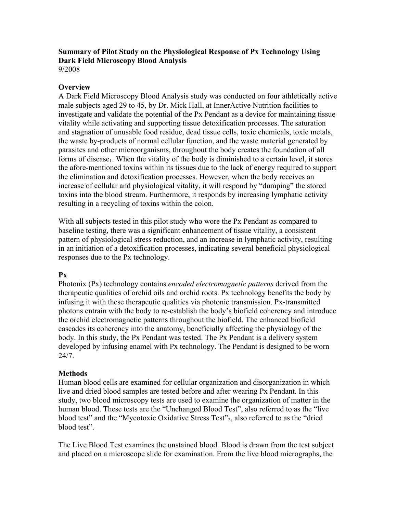# **Summary of Pilot Study on the Physiological Response of Px Technology Using Dark Field Microscopy Blood Analysis**

9/2008

### **Overview**

A Dark Field Microscopy Blood Analysis study was conducted on four athletically active male subjects aged 29 to 45, by Dr. Mick Hall, at InnerActive Nutrition facilities to investigate and validate the potential of the Px Pendant as a device for maintaining tissue vitality while activating and supporting tissue detoxification processes. The saturation and stagnation of unusable food residue, dead tissue cells, toxic chemicals, toxic metals, the waste by-products of normal cellular function, and the waste material generated by parasites and other microorganisms, throughout the body creates the foundation of all forms of disease<sub>1</sub>. When the vitality of the body is diminished to a certain level, it stores the afore-mentioned toxins within its tissues due to the lack of energy required to support the elimination and detoxification processes. However, when the body receives an increase of cellular and physiological vitality, it will respond by "dumping" the stored toxins into the blood stream. Furthermore, it responds by increasing lymphatic activity resulting in a recycling of toxins within the colon.

With all subjects tested in this pilot study who wore the Px Pendant as compared to baseline testing, there was a significant enhancement of tissue vitality, a consistent pattern of physiological stress reduction, and an increase in lymphatic activity, resulting in an initiation of a detoxification processes, indicating several beneficial physiological responses due to the Px technology.

#### **Px**

Photonix (Px) technology contains *encoded electromagnetic patterns* derived from the therapeutic qualities of orchid oils and orchid roots. Px technology benefits the body by infusing it with these therapeutic qualities via photonic transmission. Px-transmitted photons entrain with the body to re-establish the body's biofield coherency and introduce the orchid electromagnetic patterns throughout the biofield. The enhanced biofield cascades its coherency into the anatomy, beneficially affecting the physiology of the body. In this study, the Px Pendant was tested. The Px Pendant is a delivery system developed by infusing enamel with Px technology. The Pendant is designed to be worn 24/7.

# **Methods**

Human blood cells are examined for cellular organization and disorganization in which live and dried blood samples are tested before and after wearing Px Pendant. In this study, two blood microscopy tests are used to examine the organization of matter in the human blood. These tests are the "Unchanged Blood Test", also referred to as the "live blood test" and the "Mycotoxic Oxidative Stress Test"<sub>2</sub>, also referred to as the "dried blood test".

The Live Blood Test examines the unstained blood. Blood is drawn from the test subject and placed on a microscope slide for examination. From the live blood micrographs, the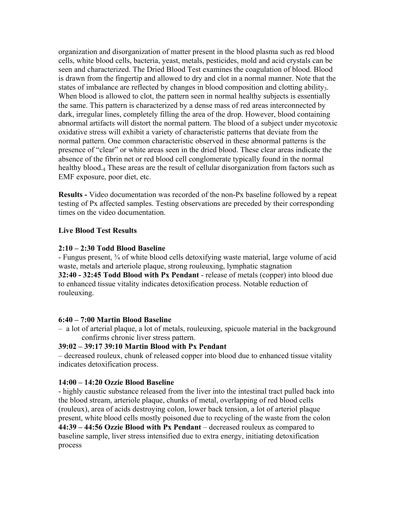organization and disorganization of matter present in the blood plasma such as red blood cells, white blood cells, bacteria, yeast, metals, pesticides, mold and acid crystals can be seen and characterized. The Dried Blood Test examines the coagulation of blood. Blood is drawn from the fingertip and allowed to dry and clot in a normal manner. Note that the states of imbalance are reflected by changes in blood composition and clotting ability. When blood is allowed to clot, the pattern seen in normal healthy subjects is essentially the same. This pattern is characterized by a dense mass of red areas interconnected by dark, irregular lines, completely filling the area of the drop. However, blood containing abnormal artifacts will distort the normal pattern. The blood of a subject under mycotoxic oxidative stress will exhibit a variety of characteristic patterns that deviate from the normal pattern. One common characteristic observed in these abnormal patterns is the presence of "clear" or white areas seen in the dried blood. These clear areas indicate the absence of the fibrin net or red blood cell conglomerate typically found in the normal healthy blood.<sub>4</sub> These areas are the result of cellular disorganization from factors such as EMF exposure, poor diet, etc.

**Results -** Video documentation was recorded of the non-Px baseline followed by a repeat testing of Px affected samples. Testing observations are preceded by their corresponding times on the video documentation.

## **Live Blood Test Results**

## **2:10 – 2:30 Todd Blood Baseline**

- Fungus present, ¾ of white blood cells detoxifying waste material, large volume of acid waste, metals and arteriole plaque, strong rouleuxing, lymphatic stagnation **32:40 - 32:45 Todd Blood with Px Pendant** - release of metals (copper) into blood due to enhanced tissue vitality indicates detoxification process. Notable reduction of rouleuxing.

#### **6:40 – 7:00 Martin Blood Baseline**

– a lot of arterial plaque, a lot of metals, rouleuxing, spicuole material in the background confirms chronic liver stress pattern.

# **39:02 – 39:17 39:10 Martin Blood with Px Pendant**

– decreased rouleux, chunk of released copper into blood due to enhanced tissue vitality indicates detoxification process.

# **14:00 – 14:20 Ozzie Blood Baseline**

- highly caustic substance released from the liver into the intestinal tract pulled back into the blood stream, arteriole plaque, chunks of metal, overlapping of red blood cells (rouleux), area of acids destroying colon, lower back tension, a lot of arteriol plaque present, white blood cells mostly poisoned due to recycling of the waste from the colon **44:39 – 44:56 Ozzie Blood with Px Pendant** – decreased rouleux as compared to baseline sample, liver stress intensified due to extra energy, initiating detoxification process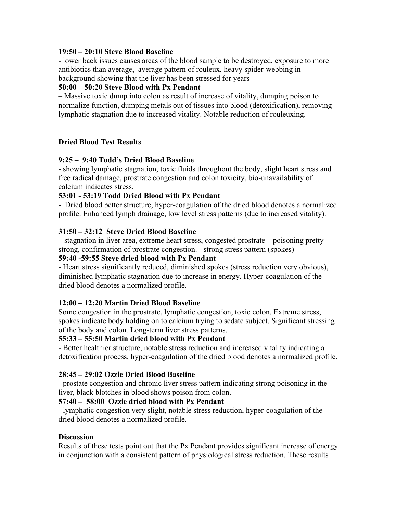## **19:50 – 20:10 Steve Blood Baseline**

- lower back issues causes areas of the blood sample to be destroyed, exposure to more antibiotics than average, average pattern of rouleux, heavy spider-webbing in background showing that the liver has been stressed for years

# **50:00 – 50:20 Steve Blood with Px Pendant**

– Massive toxic dump into colon as result of increase of vitality, dumping poison to normalize function, dumping metals out of tissues into blood (detoxification), removing lymphatic stagnation due to increased vitality. Notable reduction of rouleuxing.

## **Dried Blood Test Results**

# **9:25 – 9:40 Todd's Dried Blood Baseline**

- showing lymphatic stagnation, toxic fluids throughout the body, slight heart stress and free radical damage, prostrate congestion and colon toxicity, bio-unavailability of calcium indicates stress.

## **53:01 - 53:19 Todd Dried Blood with Px Pendant**

- Dried blood better structure, hyper-coagulation of the dried blood denotes a normalized profile. Enhanced lymph drainage, low level stress patterns (due to increased vitality).

## **31:50 – 32:12 Steve Dried Blood Baseline**

– stagnation in liver area, extreme heart stress, congested prostrate – poisoning pretty strong, confirmation of prostrate congestion. - strong stress pattern (spokes)

# **59:40 -59:55 Steve dried blood with Px Pendant**

- Heart stress significantly reduced, diminished spokes (stress reduction very obvious), diminished lymphatic stagnation due to increase in energy. Hyper-coagulation of the dried blood denotes a normalized profile.

#### **12:00 – 12:20 Martin Dried Blood Baseline**

Some congestion in the prostrate, lymphatic congestion, toxic colon. Extreme stress, spokes indicate body holding on to calcium trying to sedate subject. Significant stressing of the body and colon. Long-term liver stress patterns.

#### **55:33 – 55:50 Martin dried blood with Px Pendant**

- Better healthier structure, notable stress reduction and increased vitality indicating a detoxification process, hyper-coagulation of the dried blood denotes a normalized profile.

#### **28:45 – 29:02 Ozzie Dried Blood Baseline**

- prostate congestion and chronic liver stress pattern indicating strong poisoning in the liver, black blotches in blood shows poison from colon.

#### **57:40 – 58:00 Ozzie dried blood with Px Pendant**

- lymphatic congestion very slight, notable stress reduction, hyper-coagulation of the dried blood denotes a normalized profile.

#### **Discussion**

Results of these tests point out that the Px Pendant provides significant increase of energy in conjunction with a consistent pattern of physiological stress reduction. These results